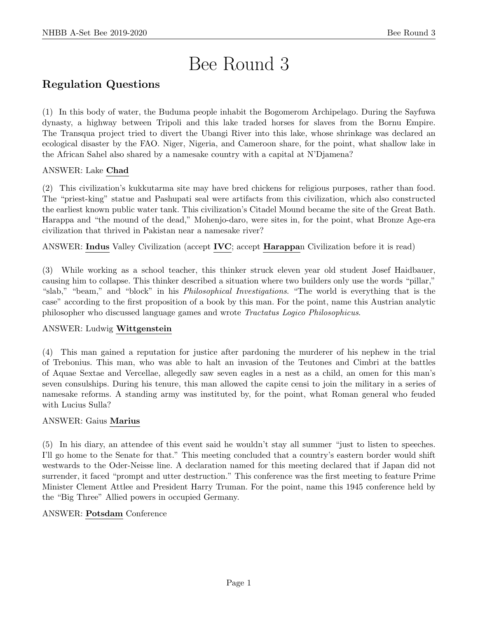# Bee Round 3

# Regulation Questions

(1) In this body of water, the Buduma people inhabit the Bogomerom Archipelago. During the Sayfuwa dynasty, a highway between Tripoli and this lake traded horses for slaves from the Bornu Empire. The Transqua project tried to divert the Ubangi River into this lake, whose shrinkage was declared an ecological disaster by the FAO. Niger, Nigeria, and Cameroon share, for the point, what shallow lake in the African Sahel also shared by a namesake country with a capital at N'Djamena?

### ANSWER: Lake Chad

(2) This civilization's kukkutarma site may have bred chickens for religious purposes, rather than food. The "priest-king" statue and Pashupati seal were artifacts from this civilization, which also constructed the earliest known public water tank. This civilization's Citadel Mound became the site of the Great Bath. Harappa and "the mound of the dead," Mohenjo-daro, were sites in, for the point, what Bronze Age-era civilization that thrived in Pakistan near a namesake river?

ANSWER: Indus Valley Civilization (accept IVC; accept Harappan Civilization before it is read)

(3) While working as a school teacher, this thinker struck eleven year old student Josef Haidbauer, causing him to collapse. This thinker described a situation where two builders only use the words "pillar," "slab," "beam," and "block" in his Philosophical Investigations. "The world is everything that is the case" according to the first proposition of a book by this man. For the point, name this Austrian analytic philosopher who discussed language games and wrote Tractatus Logico Philosophicus.

#### ANSWER: Ludwig Wittgenstein

(4) This man gained a reputation for justice after pardoning the murderer of his nephew in the trial of Trebonius. This man, who was able to halt an invasion of the Teutones and Cimbri at the battles of Aquae Sextae and Vercellae, allegedly saw seven eagles in a nest as a child, an omen for this man's seven consulships. During his tenure, this man allowed the capite censi to join the military in a series of namesake reforms. A standing army was instituted by, for the point, what Roman general who feuded with Lucius Sulla?

#### ANSWER: Gaius Marius

(5) In his diary, an attendee of this event said he wouldn't stay all summer "just to listen to speeches. I'll go home to the Senate for that." This meeting concluded that a country's eastern border would shift westwards to the Oder-Neisse line. A declaration named for this meeting declared that if Japan did not surrender, it faced "prompt and utter destruction." This conference was the first meeting to feature Prime Minister Clement Attlee and President Harry Truman. For the point, name this 1945 conference held by the "Big Three" Allied powers in occupied Germany.

#### ANSWER: Potsdam Conference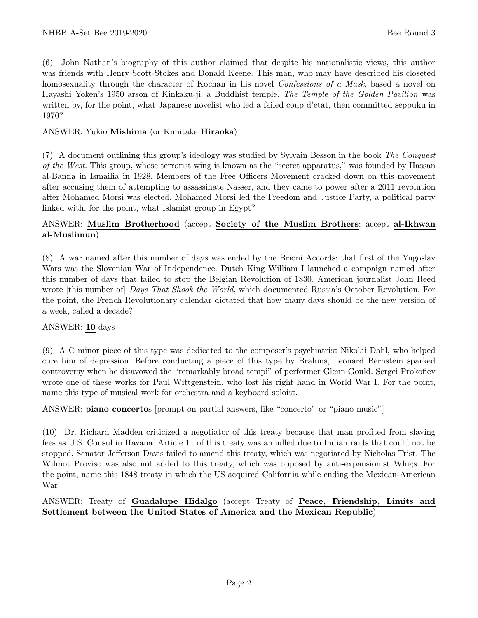(6) John Nathan's biography of this author claimed that despite his nationalistic views, this author was friends with Henry Scott-Stokes and Donald Keene. This man, who may have described his closeted homosexuality through the character of Kochan in his novel *Confessions of a Mask*, based a novel on Hayashi Yoken's 1950 arson of Kinkaku-ji, a Buddhist temple. The Temple of the Golden Pavilion was written by, for the point, what Japanese novelist who led a failed coup d'etat, then committed seppuku in 1970?

#### ANSWER: Yukio Mishima (or Kimitake Hiraoka)

(7) A document outlining this group's ideology was studied by Sylvain Besson in the book The Conquest of the West. This group, whose terrorist wing is known as the "secret apparatus," was founded by Hassan al-Banna in Ismailia in 1928. Members of the Free Officers Movement cracked down on this movement after accusing them of attempting to assassinate Nasser, and they came to power after a 2011 revolution after Mohamed Morsi was elected. Mohamed Morsi led the Freedom and Justice Party, a political party linked with, for the point, what Islamist group in Egypt?

#### ANSWER: Muslim Brotherhood (accept Society of the Muslim Brothers; accept al-Ikhwan al-Muslimun)

(8) A war named after this number of days was ended by the Brioni Accords; that first of the Yugoslav Wars was the Slovenian War of Independence. Dutch King William I launched a campaign named after this number of days that failed to stop the Belgian Revolution of 1830. American journalist John Reed wrote [this number of] Days That Shook the World, which documented Russia's October Revolution. For the point, the French Revolutionary calendar dictated that how many days should be the new version of a week, called a decade?

#### ANSWER: 10 days

(9) A C minor piece of this type was dedicated to the composer's psychiatrist Nikolai Dahl, who helped cure him of depression. Before conducting a piece of this type by Brahms, Leonard Bernstein sparked controversy when he disavowed the "remarkably broad tempi" of performer Glenn Gould. Sergei Prokofiev wrote one of these works for Paul Wittgenstein, who lost his right hand in World War I. For the point, name this type of musical work for orchestra and a keyboard soloist.

#### ANSWER: piano concertos [prompt on partial answers, like "concerto" or "piano music"]

(10) Dr. Richard Madden criticized a negotiator of this treaty because that man profited from slaving fees as U.S. Consul in Havana. Article 11 of this treaty was annulled due to Indian raids that could not be stopped. Senator Jefferson Davis failed to amend this treaty, which was negotiated by Nicholas Trist. The Wilmot Proviso was also not added to this treaty, which was opposed by anti-expansionist Whigs. For the point, name this 1848 treaty in which the US acquired California while ending the Mexican-American War.

#### ANSWER: Treaty of Guadalupe Hidalgo (accept Treaty of Peace, Friendship, Limits and Settlement between the United States of America and the Mexican Republic)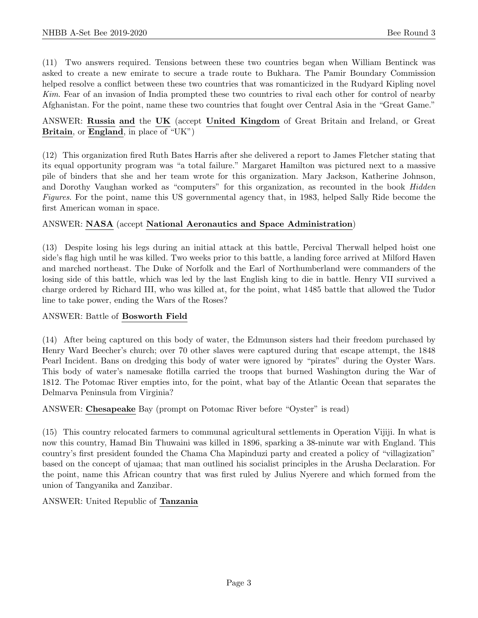(11) Two answers required. Tensions between these two countries began when William Bentinck was asked to create a new emirate to secure a trade route to Bukhara. The Pamir Boundary Commission helped resolve a conflict between these two countries that was romanticized in the Rudyard Kipling novel Kim. Fear of an invasion of India prompted these two countries to rival each other for control of nearby Afghanistan. For the point, name these two countries that fought over Central Asia in the "Great Game."

#### ANSWER: Russia and the UK (accept United Kingdom of Great Britain and Ireland, or Great Britain, or England, in place of "UK")

(12) This organization fired Ruth Bates Harris after she delivered a report to James Fletcher stating that its equal opportunity program was "a total failure." Margaret Hamilton was pictured next to a massive pile of binders that she and her team wrote for this organization. Mary Jackson, Katherine Johnson, and Dorothy Vaughan worked as "computers" for this organization, as recounted in the book *Hidden* Figures. For the point, name this US governmental agency that, in 1983, helped Sally Ride become the first American woman in space.

#### ANSWER: NASA (accept National Aeronautics and Space Administration)

(13) Despite losing his legs during an initial attack at this battle, Percival Therwall helped hoist one side's flag high until he was killed. Two weeks prior to this battle, a landing force arrived at Milford Haven and marched northeast. The Duke of Norfolk and the Earl of Northumberland were commanders of the losing side of this battle, which was led by the last English king to die in battle. Henry VII survived a charge ordered by Richard III, who was killed at, for the point, what 1485 battle that allowed the Tudor line to take power, ending the Wars of the Roses?

#### ANSWER: Battle of Bosworth Field

(14) After being captured on this body of water, the Edmunson sisters had their freedom purchased by Henry Ward Beecher's church; over 70 other slaves were captured during that escape attempt, the 1848 Pearl Incident. Bans on dredging this body of water were ignored by "pirates" during the Oyster Wars. This body of water's namesake flotilla carried the troops that burned Washington during the War of 1812. The Potomac River empties into, for the point, what bay of the Atlantic Ocean that separates the Delmarva Peninsula from Virginia?

#### ANSWER: Chesapeake Bay (prompt on Potomac River before "Oyster" is read)

(15) This country relocated farmers to communal agricultural settlements in Operation Vijiji. In what is now this country, Hamad Bin Thuwaini was killed in 1896, sparking a 38-minute war with England. This country's first president founded the Chama Cha Mapinduzi party and created a policy of "villagization" based on the concept of ujamaa; that man outlined his socialist principles in the Arusha Declaration. For the point, name this African country that was first ruled by Julius Nyerere and which formed from the union of Tangyanika and Zanzibar.

#### ANSWER: United Republic of Tanzania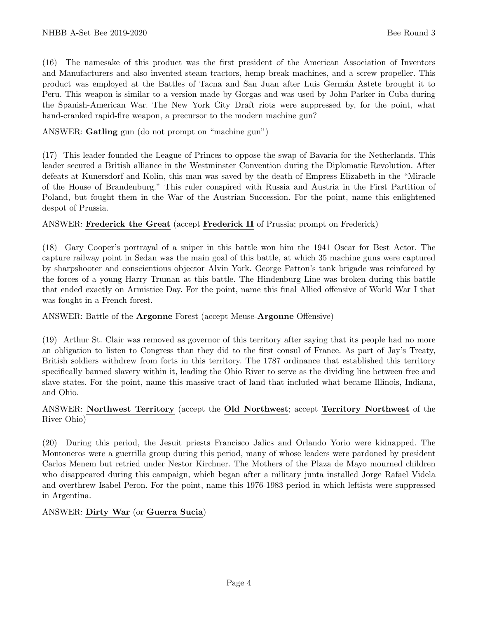(16) The namesake of this product was the first president of the American Association of Inventors and Manufacturers and also invented steam tractors, hemp break machines, and a screw propeller. This product was employed at the Battles of Tacna and San Juan after Luis Germán Astete brought it to Peru. This weapon is similar to a version made by Gorgas and was used by John Parker in Cuba during the Spanish-American War. The New York City Draft riots were suppressed by, for the point, what hand-cranked rapid-fire weapon, a precursor to the modern machine gun?

ANSWER: Gatling gun (do not prompt on "machine gun")

(17) This leader founded the League of Princes to oppose the swap of Bavaria for the Netherlands. This leader secured a British alliance in the Westminster Convention during the Diplomatic Revolution. After defeats at Kunersdorf and Kolin, this man was saved by the death of Empress Elizabeth in the "Miracle of the House of Brandenburg." This ruler conspired with Russia and Austria in the First Partition of Poland, but fought them in the War of the Austrian Succession. For the point, name this enlightened despot of Prussia.

#### ANSWER: Frederick the Great (accept Frederick II of Prussia; prompt on Frederick)

(18) Gary Cooper's portrayal of a sniper in this battle won him the 1941 Oscar for Best Actor. The capture railway point in Sedan was the main goal of this battle, at which 35 machine guns were captured by sharpshooter and conscientious objector Alvin York. George Patton's tank brigade was reinforced by the forces of a young Harry Truman at this battle. The Hindenburg Line was broken during this battle that ended exactly on Armistice Day. For the point, name this final Allied offensive of World War I that was fought in a French forest.

#### ANSWER: Battle of the Argonne Forest (accept Meuse-Argonne Offensive)

(19) Arthur St. Clair was removed as governor of this territory after saying that its people had no more an obligation to listen to Congress than they did to the first consul of France. As part of Jay's Treaty, British soldiers withdrew from forts in this territory. The 1787 ordinance that established this territory specifically banned slavery within it, leading the Ohio River to serve as the dividing line between free and slave states. For the point, name this massive tract of land that included what became Illinois, Indiana, and Ohio.

#### ANSWER: Northwest Territory (accept the Old Northwest; accept Territory Northwest of the River Ohio)

(20) During this period, the Jesuit priests Francisco Jalics and Orlando Yorio were kidnapped. The Montoneros were a guerrilla group during this period, many of whose leaders were pardoned by president Carlos Menem but retried under Nestor Kirchner. The Mothers of the Plaza de Mayo mourned children who disappeared during this campaign, which began after a military junta installed Jorge Rafael Videla and overthrew Isabel Peron. For the point, name this 1976-1983 period in which leftists were suppressed in Argentina.

#### ANSWER: Dirty War (or Guerra Sucia)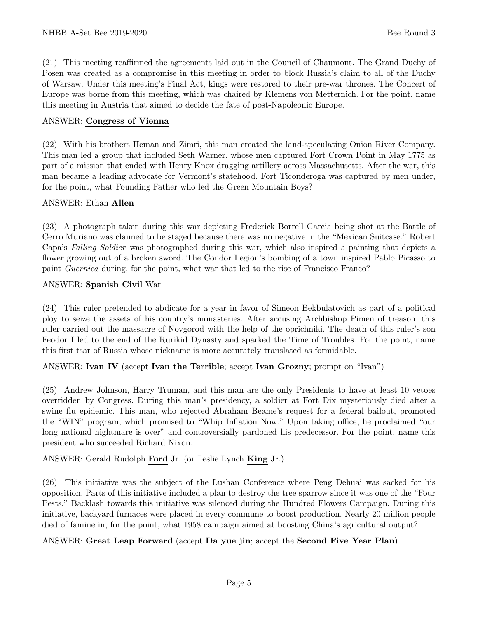(21) This meeting reaffirmed the agreements laid out in the Council of Chaumont. The Grand Duchy of Posen was created as a compromise in this meeting in order to block Russia's claim to all of the Duchy of Warsaw. Under this meeting's Final Act, kings were restored to their pre-war thrones. The Concert of Europe was borne from this meeting, which was chaired by Klemens von Metternich. For the point, name this meeting in Austria that aimed to decide the fate of post-Napoleonic Europe.

#### ANSWER: Congress of Vienna

(22) With his brothers Heman and Zimri, this man created the land-speculating Onion River Company. This man led a group that included Seth Warner, whose men captured Fort Crown Point in May 1775 as part of a mission that ended with Henry Knox dragging artillery across Massachusetts. After the war, this man became a leading advocate for Vermont's statehood. Fort Ticonderoga was captured by men under, for the point, what Founding Father who led the Green Mountain Boys?

#### ANSWER: Ethan Allen

(23) A photograph taken during this war depicting Frederick Borrell Garcia being shot at the Battle of Cerro Muriano was claimed to be staged because there was no negative in the "Mexican Suitcase." Robert Capa's Falling Soldier was photographed during this war, which also inspired a painting that depicts a flower growing out of a broken sword. The Condor Legion's bombing of a town inspired Pablo Picasso to paint Guernica during, for the point, what war that led to the rise of Francisco Franco?

#### ANSWER: Spanish Civil War

(24) This ruler pretended to abdicate for a year in favor of Simeon Bekbulatovich as part of a political ploy to seize the assets of his country's monasteries. After accusing Archbishop Pimen of treason, this ruler carried out the massacre of Novgorod with the help of the oprichniki. The death of this ruler's son Feodor I led to the end of the Rurikid Dynasty and sparked the Time of Troubles. For the point, name this first tsar of Russia whose nickname is more accurately translated as formidable.

ANSWER: Ivan IV (accept Ivan the Terrible; accept Ivan Grozny; prompt on "Ivan")

(25) Andrew Johnson, Harry Truman, and this man are the only Presidents to have at least 10 vetoes overridden by Congress. During this man's presidency, a soldier at Fort Dix mysteriously died after a swine flu epidemic. This man, who rejected Abraham Beame's request for a federal bailout, promoted the "WIN" program, which promised to "Whip Inflation Now." Upon taking office, he proclaimed "our long national nightmare is over" and controversially pardoned his predecessor. For the point, name this president who succeeded Richard Nixon.

ANSWER: Gerald Rudolph Ford Jr. (or Leslie Lynch King Jr.)

(26) This initiative was the subject of the Lushan Conference where Peng Dehuai was sacked for his opposition. Parts of this initiative included a plan to destroy the tree sparrow since it was one of the "Four Pests." Backlash towards this initiative was silenced during the Hundred Flowers Campaign. During this initiative, backyard furnaces were placed in every commune to boost production. Nearly 20 million people died of famine in, for the point, what 1958 campaign aimed at boosting China's agricultural output?

#### ANSWER: Great Leap Forward (accept Da yue jin; accept the Second Five Year Plan)